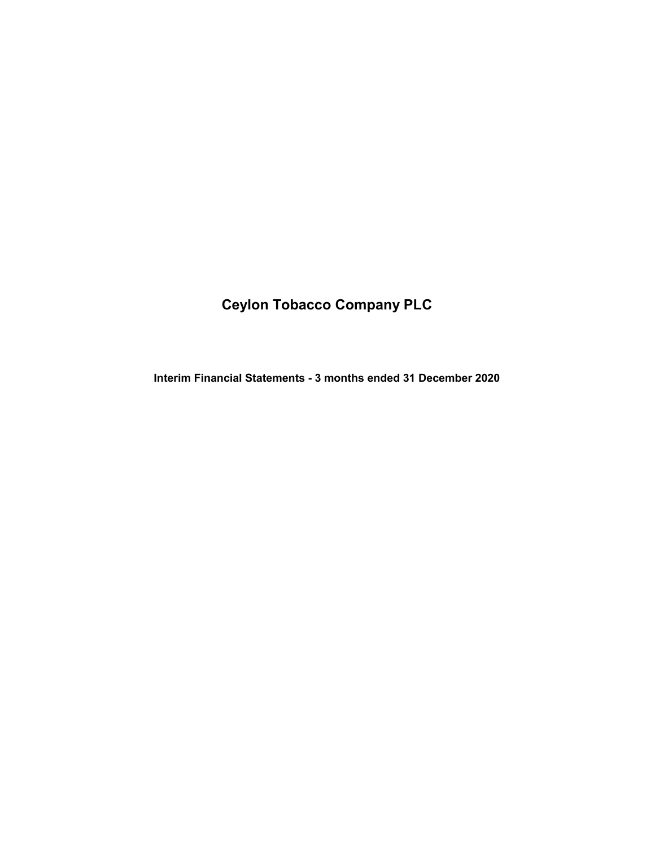# Ceylon Tobacco Company PLC

Interim Financial Statements - 3 months ended 31 December 2020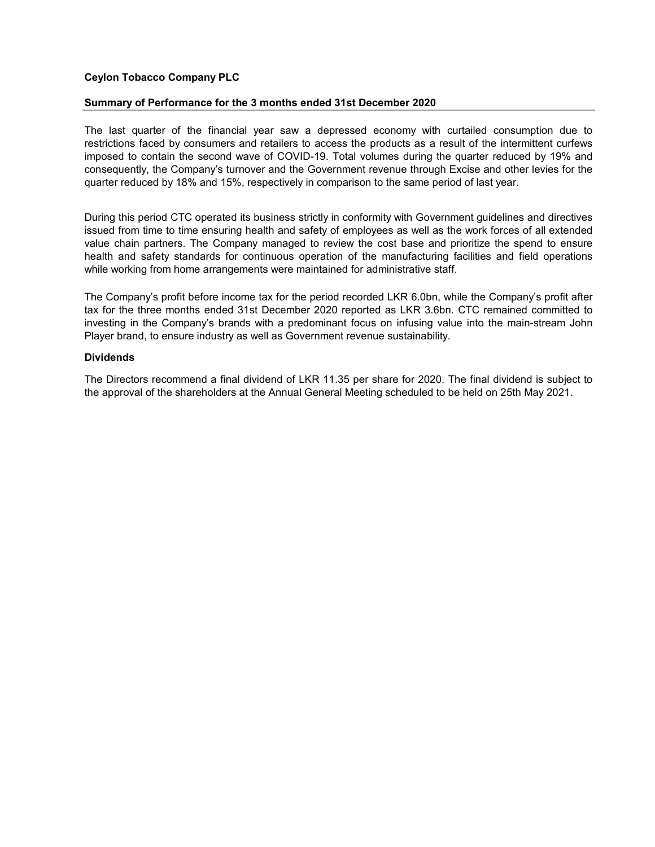# Ceylon Tobacco Company PLC

# Summary of Performance for the 3 months ended 31st December 2020

The last quarter of the financial year saw a depressed economy with curtailed consumption due to restrictions faced by consumers and retailers to access the products as a result of the intermittent curfews imposed to contain the second wave of COVID-19. Total volumes during the quarter reduced by 19% and consequently, the Company's turnover and the Government revenue through Excise and other levies for the quarter reduced by 18% and 15%, respectively in comparison to the same period of last year.

During this period CTC operated its business strictly in conformity with Government guidelines and directives issued from time to time ensuring health and safety of employees as well as the work forces of all extended value chain partners. The Company managed to review the cost base and prioritize the spend to ensure health and safety standards for continuous operation of the manufacturing facilities and field operations while working from home arrangements were maintained for administrative staff.

The Company's profit before income tax for the period recorded LKR 6.0bn, while the Company's profit after tax for the three months ended 31st December 2020 reported as LKR 3.6bn. CTC remained committed to investing in the Company's brands with a predominant focus on infusing value into the main-stream John Player brand, to ensure industry as well as Government revenue sustainability.

# Dividends

The Directors recommend a final dividend of LKR 11.35 per share for 2020. The final dividend is subject to the approval of the shareholders at the Annual General Meeting scheduled to be held on 25th May 2021.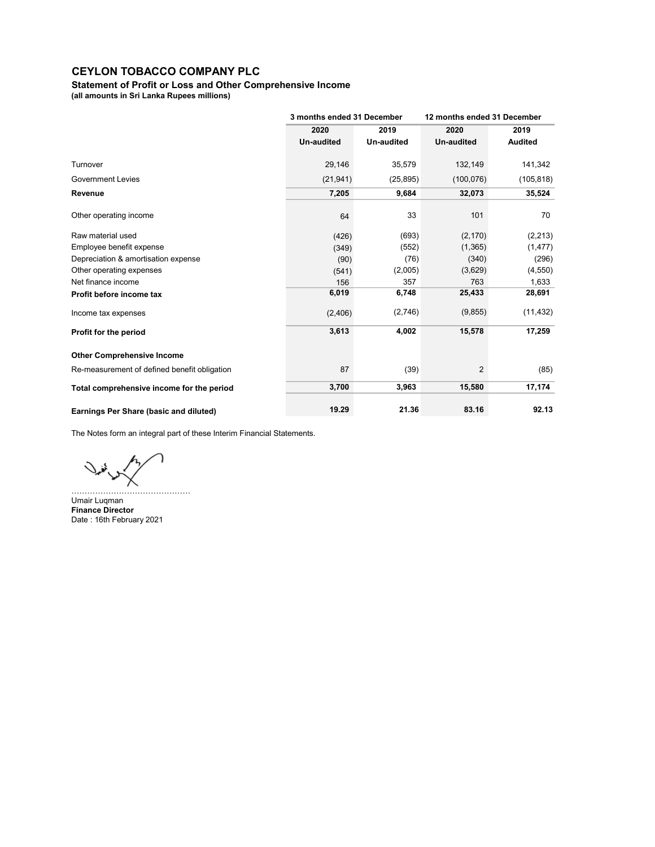Statement of Profit or Loss and Other Comprehensive Income

(all amounts in Sri Lanka Rupees millions)

|                                              | 3 months ended 31 December |            | 12 months ended 31 December |                |  |
|----------------------------------------------|----------------------------|------------|-----------------------------|----------------|--|
|                                              | 2020                       | 2019       | 2020                        | 2019           |  |
|                                              | <b>Un-audited</b>          | Un-audited | <b>Un-audited</b>           | <b>Audited</b> |  |
| Turnover                                     | 29,146                     | 35,579     | 132,149                     | 141,342        |  |
| <b>Government Levies</b>                     | (21, 941)                  | (25, 895)  | (100, 076)                  | (105, 818)     |  |
| Revenue                                      | 7,205                      | 9,684      | 32,073                      | 35,524         |  |
| Other operating income                       | 64                         | 33         | 101                         | 70             |  |
| Raw material used                            | (426)                      | (693)      | (2, 170)                    | (2, 213)       |  |
| Employee benefit expense                     | (349)                      | (552)      | (1,365)                     | (1, 477)       |  |
| Depreciation & amortisation expense          | (90)                       | (76)       | (340)                       | (296)          |  |
| Other operating expenses                     | (541)                      | (2,005)    | (3,629)                     | (4, 550)       |  |
| Net finance income                           | 156                        | 357        | 763                         | 1,633          |  |
| Profit before income tax                     | 6,019                      | 6,748      | 25,433                      | 28,691         |  |
| Income tax expenses                          | (2,406)                    | (2,746)    | (9,855)                     | (11, 432)      |  |
| Profit for the period                        | 3,613                      | 4,002      | 15,578                      | 17,259         |  |
| <b>Other Comprehensive Income</b>            |                            |            |                             |                |  |
| Re-measurement of defined benefit obligation | 87                         | (39)       | $\overline{2}$              | (85)           |  |
| Total comprehensive income for the period    | 3,700                      | 3,963      | 15,580                      | 17,174         |  |
| Earnings Per Share (basic and diluted)       | 19.29                      | 21.36      | 83.16                       | 92.13          |  |

The Notes form an integral part of these Interim Financial Statements.

………………………………………

نہا

Umair Luqman Finance Director Date : 16th February 2021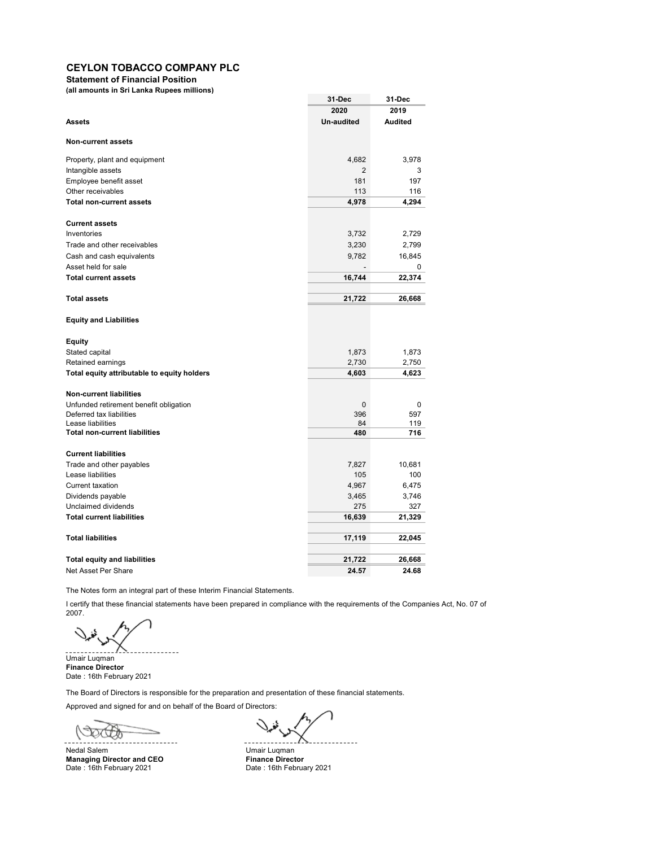Statement of Financial Position

(all amounts in Sri Lanka Rupees millions)

|                                             | 31-Dec            | 31-Dec         |
|---------------------------------------------|-------------------|----------------|
|                                             | 2020              | 2019           |
| <b>Assets</b>                               | <b>Un-audited</b> | <b>Audited</b> |
| <b>Non-current assets</b>                   |                   |                |
| Property, plant and equipment               | 4,682             | 3,978          |
| Intangible assets                           | 2                 | 3              |
| Employee benefit asset                      | 181               | 197            |
| Other receivables                           | 113               | 116            |
| <b>Total non-current assets</b>             | 4,978             | 4,294          |
| <b>Current assets</b>                       |                   |                |
| Inventories                                 | 3,732             | 2,729          |
| Trade and other receivables                 | 3,230             | 2,799          |
| Cash and cash equivalents                   | 9,782             | 16,845         |
| Asset held for sale                         | $\overline{a}$    | 0              |
| <b>Total current assets</b>                 | 16,744            | 22,374         |
|                                             |                   |                |
| <b>Total assets</b>                         | 21,722            | 26,668         |
| <b>Equity and Liabilities</b>               |                   |                |
| Equity                                      |                   |                |
| Stated capital                              | 1,873             | 1,873          |
| Retained earnings                           | 2,730             | 2,750          |
| Total equity attributable to equity holders | 4,603             | 4,623          |
| Non-current liabilities                     |                   |                |
| Unfunded retirement benefit obligation      | $\mathbf 0$       | 0              |
| Deferred tax liabilities                    | 396               | 597            |
| Lease liabilities                           | 84                | 119            |
| <b>Total non-current liabilities</b>        | 480               | 716            |
| <b>Current liabilities</b>                  |                   |                |
| Trade and other payables                    | 7,827             | 10,681         |
| Lease liabilities                           | 105               | 100            |
| Current taxation                            | 4,967             | 6,475          |
| Dividends payable                           | 3,465             | 3,746          |
| Unclaimed dividends                         | 275               | 327            |
| <b>Total current liabilities</b>            | 16,639            | 21,329         |
| <b>Total liabilities</b>                    | 17,119            | 22,045         |
|                                             |                   |                |
| <b>Total equity and liabilities</b>         | 21,722            | 26,668         |
| Net Asset Per Share                         | 24.57             | 24.68          |

The Notes form an integral part of these Interim Financial Statements.

I certify that these financial statements have been prepared in compliance with the requirements of the Companies Act, No. 07 of 2007.

Umair Luqman Finance Director Date : 16th February 2021

The Board of Directors is responsible for the preparation and presentation of these financial statements.

Approved and signed for and on behalf of the Board of Directors:

 $\omega$ 

Nedal Salem Umair Luqman<br> **Managing Director and CEO** The Timance Director Managing Director and CEO Finance Director Date: 16th February 2021 **Date: 16th February 2021** 

 $\ddot{\phantom{a}}$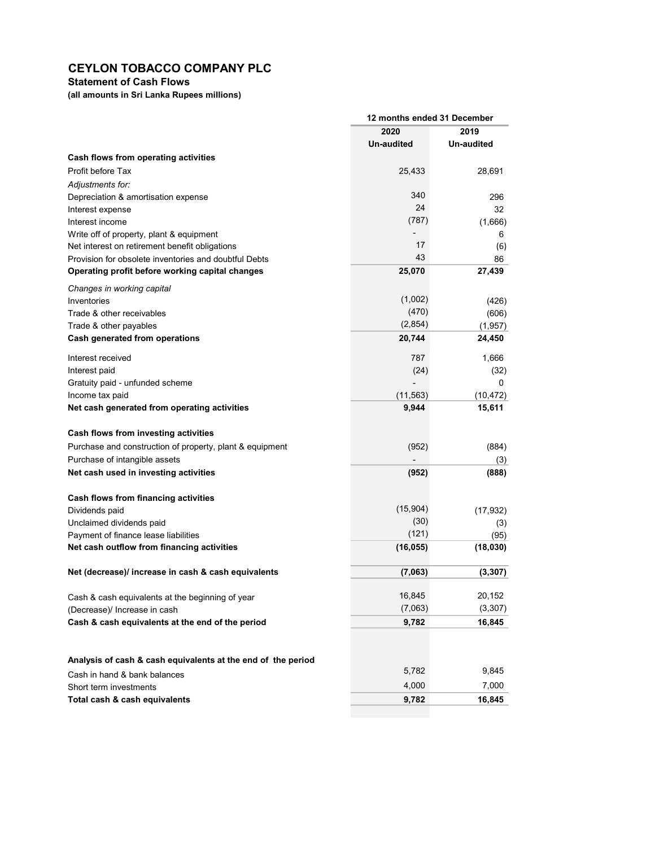# Statement of Cash Flows

(all amounts in Sri Lanka Rupees millions)

|                                                              | 12 months ended 31 December |            |  |
|--------------------------------------------------------------|-----------------------------|------------|--|
|                                                              | 2020                        | 2019       |  |
|                                                              | Un-audited                  | Un-audited |  |
| Cash flows from operating activities                         |                             |            |  |
| Profit before Tax                                            | 25,433                      | 28,691     |  |
| Adiustments for:                                             |                             |            |  |
| Depreciation & amortisation expense                          | 340                         | 296        |  |
| Interest expense                                             | 24                          | 32         |  |
| Interest income                                              | (787)                       | (1,666)    |  |
| Write off of property, plant & equipment                     |                             | 6          |  |
| Net interest on retirement benefit obligations               | 17                          | (6)        |  |
| Provision for obsolete inventories and doubtful Debts        | 43                          | 86         |  |
| Operating profit before working capital changes              | 25,070                      | 27,439     |  |
| Changes in working capital                                   |                             |            |  |
| Inventories                                                  | (1,002)                     | (426)      |  |
| Trade & other receivables                                    | (470)                       | (606)      |  |
| Trade & other payables                                       | (2,854)                     | (1, 957)   |  |
| Cash generated from operations                               | 20,744                      | 24,450     |  |
| Interest received                                            | 787                         | 1,666      |  |
| Interest paid                                                | (24)                        | (32)       |  |
| Gratuity paid - unfunded scheme                              |                             | 0          |  |
| Income tax paid                                              | (11, 563)                   | (10,472)   |  |
| Net cash generated from operating activities                 | 9,944                       | 15,611     |  |
| Cash flows from investing activities                         |                             |            |  |
| Purchase and construction of property, plant & equipment     | (952)                       | (884)      |  |
| Purchase of intangible assets                                |                             | (3)        |  |
| Net cash used in investing activities                        | (952)                       | (888)      |  |
| Cash flows from financing activities                         |                             |            |  |
| Dividends paid                                               | (15, 904)                   | (17, 932)  |  |
| Unclaimed dividends paid                                     | (30)                        | (3)        |  |
| Payment of finance lease liabilities                         | (121)                       | (95)       |  |
| Net cash outflow from financing activities                   | (16, 055)                   | (18,030)   |  |
| Net (decrease)/ increase in cash & cash equivalents          | (7,063)                     | (3, 307)   |  |
| Cash & cash equivalents at the beginning of year             | 16,845                      | 20,152     |  |
| (Decrease)/ Increase in cash                                 | (7,063)                     | (3, 307)   |  |
| Cash & cash equivalents at the end of the period             | 9,782                       | 16,845     |  |
|                                                              |                             |            |  |
| Analysis of cash & cash equivalents at the end of the period | 5,782                       | 9,845      |  |
| Cash in hand & bank balances                                 |                             |            |  |
| Short term investments                                       | 4,000                       | 7,000      |  |
| Total cash & cash equivalents                                | 9,782                       | 16,845     |  |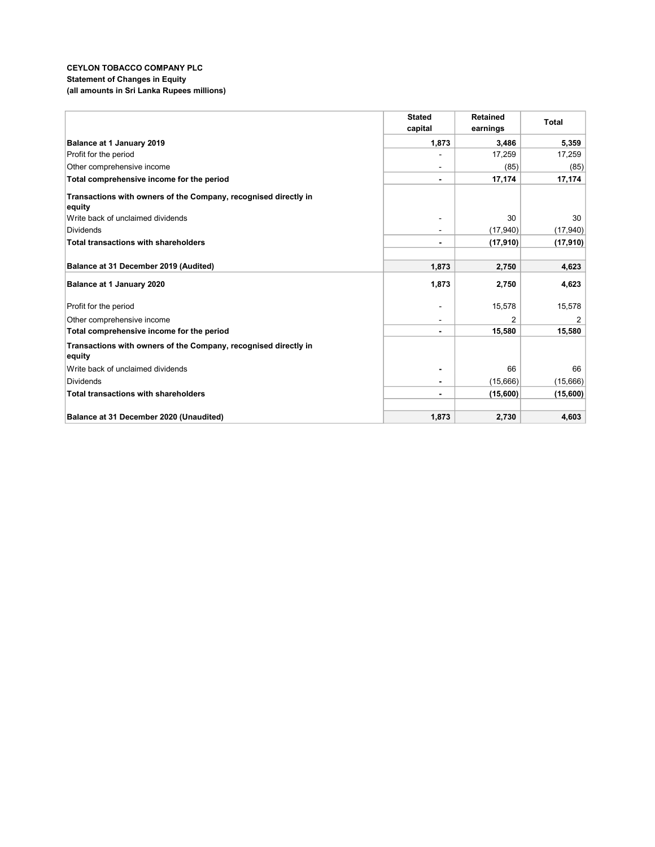### CEYLON TOBACCO COMPANY PLC Statement of Changes in Equity (all amounts in Sri Lanka Rupees millions)

|                                                                           | <b>Stated</b>  | <b>Retained</b> | <b>Total</b> |
|---------------------------------------------------------------------------|----------------|-----------------|--------------|
|                                                                           | capital        | earnings        |              |
| Balance at 1 January 2019                                                 | 1,873          | 3,486           | 5,359        |
| Profit for the period                                                     |                | 17,259          | 17,259       |
| Other comprehensive income                                                | $\sim$         | (85)            | (85)         |
| Total comprehensive income for the period                                 | $\blacksquare$ | 17,174          | 17,174       |
| Transactions with owners of the Company, recognised directly in<br>equity |                |                 |              |
| Write back of unclaimed dividends                                         |                | 30              | 30           |
| <b>Dividends</b>                                                          |                | (17, 940)       | (17, 940)    |
| <b>Total transactions with shareholders</b>                               | $\blacksquare$ | (17, 910)       | (17, 910)    |
|                                                                           |                |                 |              |
| Balance at 31 December 2019 (Audited)                                     | 1,873          | 2,750           | 4,623        |
| Balance at 1 January 2020                                                 | 1,873          | 2,750           | 4,623        |
| Profit for the period                                                     |                | 15,578          | 15,578       |
| Other comprehensive income                                                |                | 2               | 2            |
| Total comprehensive income for the period                                 | $\blacksquare$ | 15,580          | 15,580       |
| Transactions with owners of the Company, recognised directly in<br>equity |                |                 |              |
| Write back of unclaimed dividends                                         |                | 66              | 66           |
| <b>Dividends</b>                                                          |                | (15,666)        | (15,666)     |
| Total transactions with shareholders                                      | $\blacksquare$ | (15,600)        | (15,600)     |
|                                                                           |                |                 |              |
| Balance at 31 December 2020 (Unaudited)                                   | 1,873          | 2,730           | 4,603        |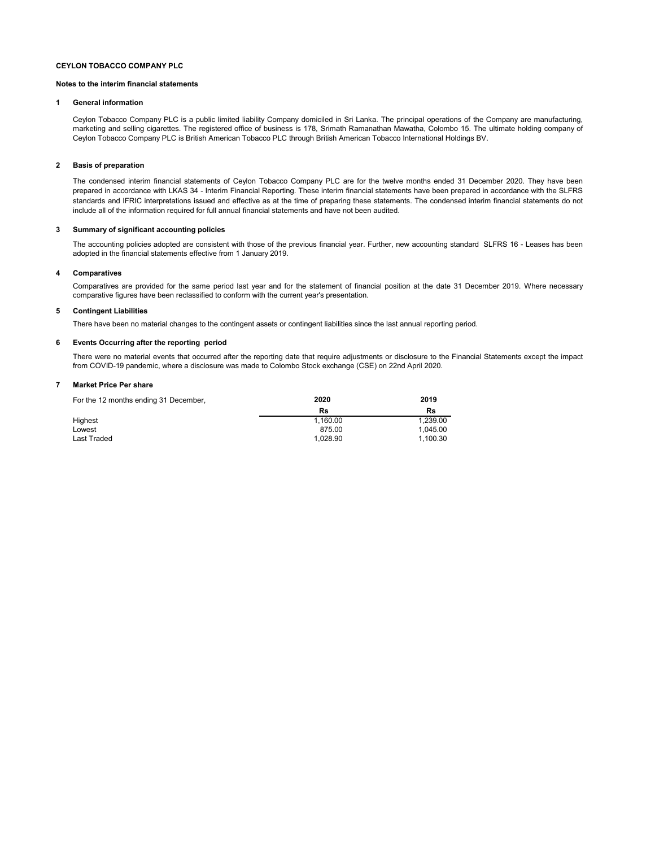#### Notes to the interim financial statements

#### 1 General information

Ceylon Tobacco Company PLC is a public limited liability Company domiciled in Sri Lanka. The principal operations of the Company are manufacturing, marketing and selling cigarettes. The registered office of business is 178, Srimath Ramanathan Mawatha, Colombo 15. The ultimate holding company of Ceylon Tobacco Company PLC is British American Tobacco PLC through British American Tobacco International Holdings BV.

#### 2 Basis of preparation

The condensed interim financial statements of Ceylon Tobacco Company PLC are for the twelve months ended 31 December 2020. They have been prepared in accordance with LKAS 34 - Interim Financial Reporting. These interim financial statements have been prepared in accordance with the SLFRS standards and IFRIC interpretations issued and effective as at the time of preparing these statements. The condensed interim financial statements do not include all of the information required for full annual financial statements and have not been audited.

#### 3 Summary of significant accounting policies

The accounting policies adopted are consistent with those of the previous financial year. Further, new accounting standard SLFRS 16 - Leases has been adopted in the financial statements effective from 1 January 2019.

#### 4 Comparatives

Comparatives are provided for the same period last year and for the statement of financial position at the date 31 December 2019. Where necessary comparative figures have been reclassified to conform with the current year's presentation.

#### 5 Contingent Liabilities

There have been no material changes to the contingent assets or contingent liabilities since the last annual reporting period.

#### 6 Events Occurring after the reporting period

There were no material events that occurred after the reporting date that require adjustments or disclosure to the Financial Statements except the impact from COVID-19 pandemic, where a disclosure was made to Colombo Stock exchange (CSE) on 22nd April 2020.

#### 7 Market Price Per share

| For the 12 months ending 31 December, | 2020     | 2019     |
|---------------------------------------|----------|----------|
|                                       | Rs       | Rs       |
| Highest                               | 1.160.00 | 1.239.00 |
| Lowest                                | 875.00   | 1.045.00 |
| Last Traded                           | 1.028.90 | 1.100.30 |